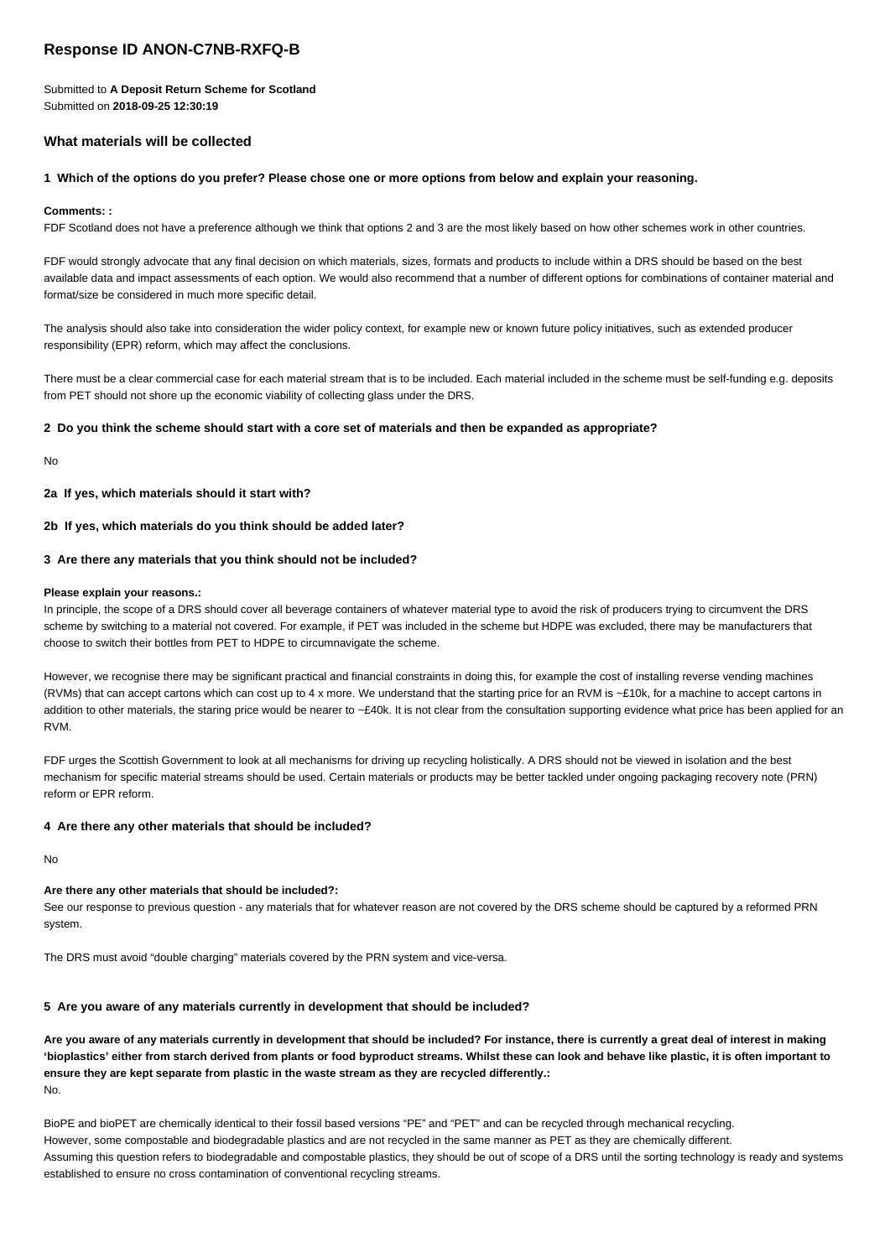# **Response ID ANON-C7NB-RXFQ-B**

Submitted to **A Deposit Return Scheme for Scotland** Submitted on **2018-09-25 12:30:19**

# **What materials will be collected**

# **1 Which of the options do you prefer? Please chose one or more options from below and explain your reasoning.**

# **Comments: :**

FDF Scotland does not have a preference although we think that options 2 and 3 are the most likely based on how other schemes work in other countries.

FDF would strongly advocate that any final decision on which materials, sizes, formats and products to include within a DRS should be based on the best available data and impact assessments of each option. We would also recommend that a number of different options for combinations of container material and format/size be considered in much more specific detail.

The analysis should also take into consideration the wider policy context, for example new or known future policy initiatives, such as extended producer responsibility (EPR) reform, which may affect the conclusions.

There must be a clear commercial case for each material stream that is to be included. Each material included in the scheme must be self-funding e.g. deposits from PET should not shore up the economic viability of collecting glass under the DRS.

# **2 Do you think the scheme should start with a core set of materials and then be expanded as appropriate?**

No

**2a If yes, which materials should it start with?**

**2b If yes, which materials do you think should be added later?**

# **3 Are there any materials that you think should not be included?**

### **Please explain your reasons.:**

In principle, the scope of a DRS should cover all beverage containers of whatever material type to avoid the risk of producers trying to circumvent the DRS scheme by switching to a material not covered. For example, if PET was included in the scheme but HDPE was excluded, there may be manufacturers that choose to switch their bottles from PET to HDPE to circumnavigate the scheme.

However, we recognise there may be significant practical and financial constraints in doing this, for example the cost of installing reverse vending machines (RVMs) that can accept cartons which can cost up to 4 x more. We understand that the starting price for an RVM is ~£10k, for a machine to accept cartons in addition to other materials, the staring price would be nearer to ~£40k. It is not clear from the consultation supporting evidence what price has been applied for an RVM.

FDF urges the Scottish Government to look at all mechanisms for driving up recycling holistically. A DRS should not be viewed in isolation and the best mechanism for specific material streams should be used. Certain materials or products may be better tackled under ongoing packaging recovery note (PRN) reform or EPR reform.

# **4 Are there any other materials that should be included?**

No

# **Are there any other materials that should be included?:**

See our response to previous question - any materials that for whatever reason are not covered by the DRS scheme should be captured by a reformed PRN system.

The DRS must avoid "double charging" materials covered by the PRN system and vice-versa.

# **5 Are you aware of any materials currently in development that should be included?**

**Are you aware of any materials currently in development that should be included? For instance, there is currently a great deal of interest in making 'bioplastics' either from starch derived from plants or food byproduct streams. Whilst these can look and behave like plastic, it is often important to ensure they are kept separate from plastic in the waste stream as they are recycled differently.:** No.

BioPE and bioPET are chemically identical to their fossil based versions "PE" and "PET" and can be recycled through mechanical recycling. However, some compostable and biodegradable plastics and are not recycled in the same manner as PET as they are chemically different. Assuming this question refers to biodegradable and compostable plastics, they should be out of scope of a DRS until the sorting technology is ready and systems established to ensure no cross contamination of conventional recycling streams.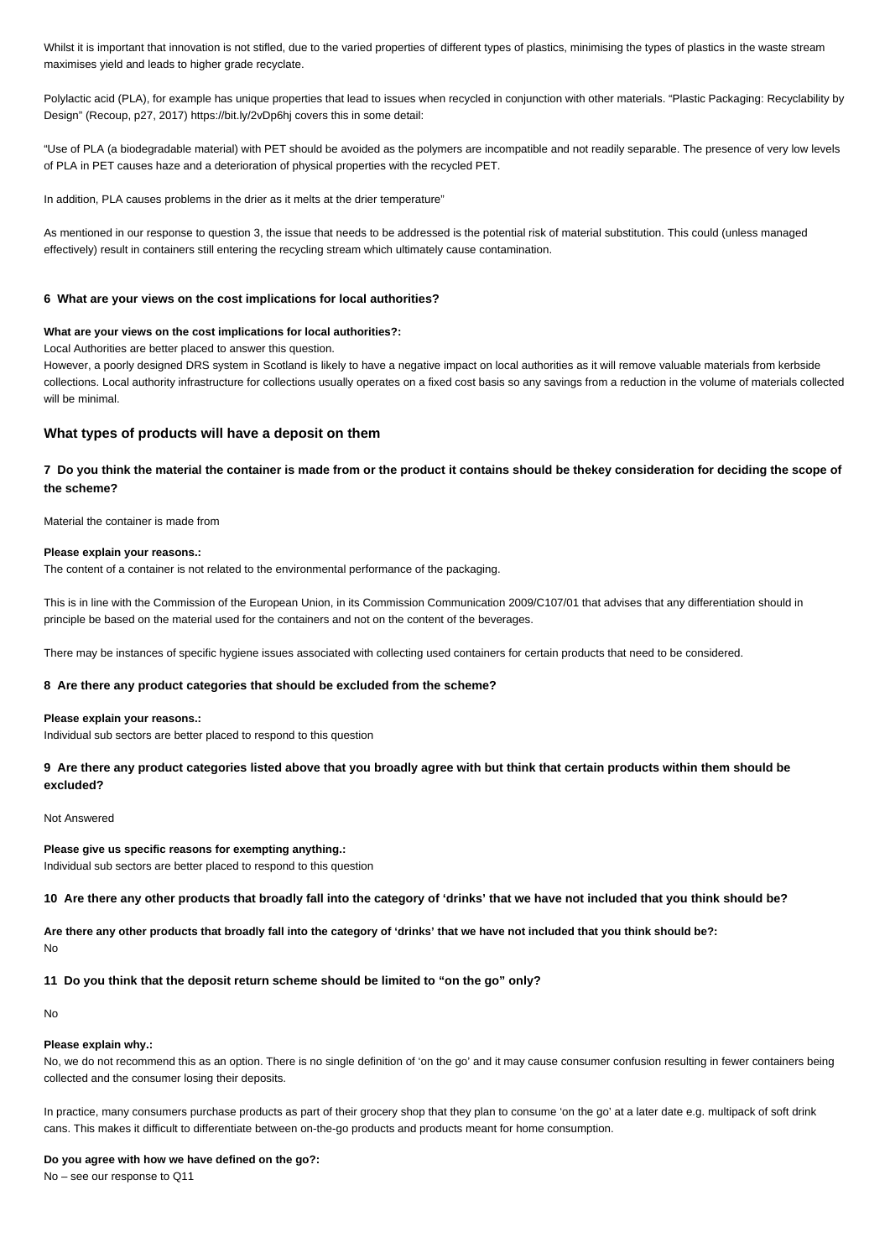Whilst it is important that innovation is not stifled, due to the varied properties of different types of plastics, minimising the types of plastics in the waste stream maximises yield and leads to higher grade recyclate.

Polylactic acid (PLA), for example has unique properties that lead to issues when recycled in conjunction with other materials. "Plastic Packaging: Recyclability by Design" (Recoup, p27, 2017) https://bit.ly/2vDp6hj covers this in some detail:

"Use of PLA (a biodegradable material) with PET should be avoided as the polymers are incompatible and not readily separable. The presence of very low levels of PLA in PET causes haze and a deterioration of physical properties with the recycled PET.

In addition, PLA causes problems in the drier as it melts at the drier temperature"

As mentioned in our response to question 3, the issue that needs to be addressed is the potential risk of material substitution. This could (unless managed effectively) result in containers still entering the recycling stream which ultimately cause contamination.

### **6 What are your views on the cost implications for local authorities?**

### **What are your views on the cost implications for local authorities?:**

Local Authorities are better placed to answer this question.

However, a poorly designed DRS system in Scotland is likely to have a negative impact on local authorities as it will remove valuable materials from kerbside collections. Local authority infrastructure for collections usually operates on a fixed cost basis so any savings from a reduction in the volume of materials collected will be minimal.

# **What types of products will have a deposit on them**

**7 Do you think the material the container is made from or the product it contains should be thekey consideration for deciding the scope of the scheme?**

Material the container is made from

#### **Please explain your reasons.:**

The content of a container is not related to the environmental performance of the packaging.

This is in line with the Commission of the European Union, in its Commission Communication 2009/C107/01 that advises that any differentiation should in principle be based on the material used for the containers and not on the content of the beverages.

There may be instances of specific hygiene issues associated with collecting used containers for certain products that need to be considered.

### **8 Are there any product categories that should be excluded from the scheme?**

#### **Please explain your reasons.:**

Individual sub sectors are better placed to respond to this question

# **9 Are there any product categories listed above that you broadly agree with but think that certain products within them should be excluded?**

### Not Answered

**Please give us specific reasons for exempting anything.:** Individual sub sectors are better placed to respond to this question

**10 Are there any other products that broadly fall into the category of 'drinks' that we have not included that you think should be?**

**Are there any other products that broadly fall into the category of 'drinks' that we have not included that you think should be?:** No

**11 Do you think that the deposit return scheme should be limited to "on the go" only?**

No

### **Please explain why.:**

No, we do not recommend this as an option. There is no single definition of 'on the go' and it may cause consumer confusion resulting in fewer containers being collected and the consumer losing their deposits.

In practice, many consumers purchase products as part of their grocery shop that they plan to consume 'on the go' at a later date e.g. multipack of soft drink cans. This makes it difficult to differentiate between on-the-go products and products meant for home consumption.

#### **Do you agree with how we have defined on the go?:**

No – see our response to Q11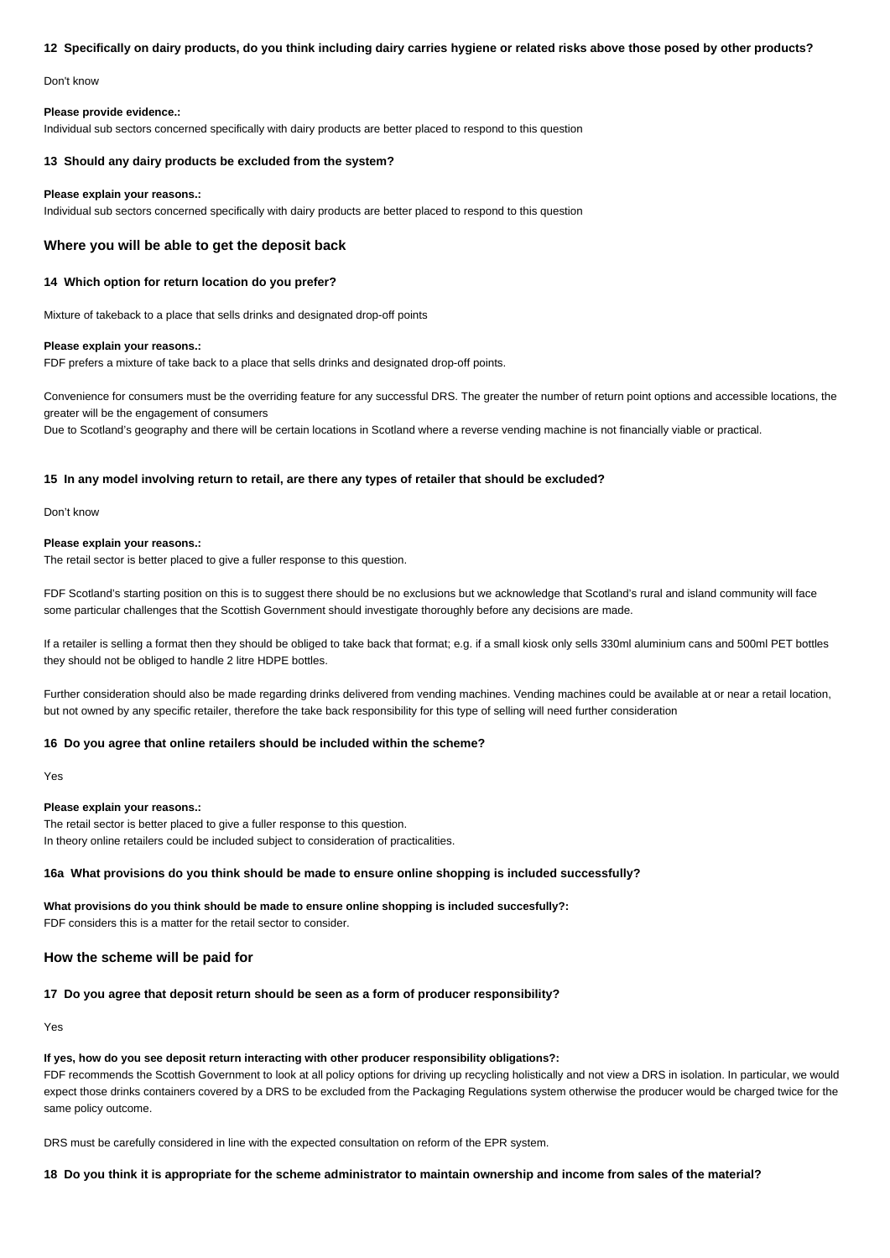### **12 Specifically on dairy products, do you think including dairy carries hygiene or related risks above those posed by other products?**

Don't know

### **Please provide evidence.:**

Individual sub sectors concerned specifically with dairy products are better placed to respond to this question

### **13 Should any dairy products be excluded from the system?**

### **Please explain your reasons.:**

Individual sub sectors concerned specifically with dairy products are better placed to respond to this question

## **Where you will be able to get the deposit back**

### **14 Which option for return location do you prefer?**

Mixture of takeback to a place that sells drinks and designated drop-off points

### **Please explain your reasons.:**

FDF prefers a mixture of take back to a place that sells drinks and designated drop-off points.

Convenience for consumers must be the overriding feature for any successful DRS. The greater the number of return point options and accessible locations, the greater will be the engagement of consumers

Due to Scotland's geography and there will be certain locations in Scotland where a reverse vending machine is not financially viable or practical.

### **15 In any model involving return to retail, are there any types of retailer that should be excluded?**

Don't know

### **Please explain your reasons.:**

The retail sector is better placed to give a fuller response to this question.

FDF Scotland's starting position on this is to suggest there should be no exclusions but we acknowledge that Scotland's rural and island community will face some particular challenges that the Scottish Government should investigate thoroughly before any decisions are made.

If a retailer is selling a format then they should be obliged to take back that format; e.g. if a small kiosk only sells 330ml aluminium cans and 500ml PET bottles they should not be obliged to handle 2 litre HDPE bottles.

Further consideration should also be made regarding drinks delivered from vending machines. Vending machines could be available at or near a retail location, but not owned by any specific retailer, therefore the take back responsibility for this type of selling will need further consideration

# **16 Do you agree that online retailers should be included within the scheme?**

Yes

# **Please explain your reasons.:**

The retail sector is better placed to give a fuller response to this question. In theory online retailers could be included subject to consideration of practicalities.

# **16a What provisions do you think should be made to ensure online shopping is included successfully?**

**What provisions do you think should be made to ensure online shopping is included succesfully?:** FDF considers this is a matter for the retail sector to consider.

# **How the scheme will be paid for**

# **17 Do you agree that deposit return should be seen as a form of producer responsibility?**

Yes

### **If yes, how do you see deposit return interacting with other producer responsibility obligations?:**

FDF recommends the Scottish Government to look at all policy options for driving up recycling holistically and not view a DRS in isolation. In particular, we would expect those drinks containers covered by a DRS to be excluded from the Packaging Regulations system otherwise the producer would be charged twice for the same policy outcome.

DRS must be carefully considered in line with the expected consultation on reform of the EPR system.

## **18 Do you think it is appropriate for the scheme administrator to maintain ownership and income from sales of the material?**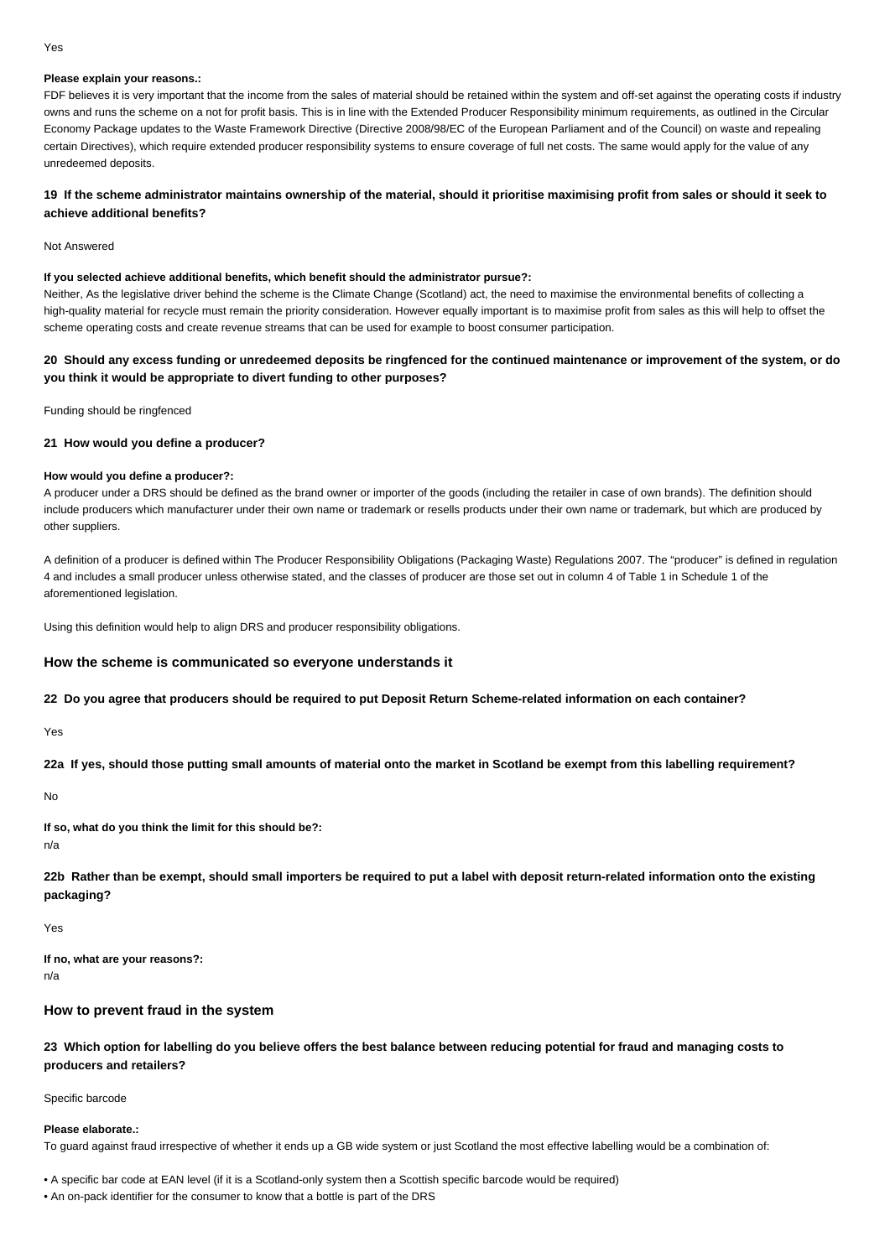# **Please explain your reasons.:**

FDF believes it is very important that the income from the sales of material should be retained within the system and off-set against the operating costs if industry owns and runs the scheme on a not for profit basis. This is in line with the Extended Producer Responsibility minimum requirements, as outlined in the Circular Economy Package updates to the Waste Framework Directive (Directive 2008/98/EC of the European Parliament and of the Council) on waste and repealing certain Directives), which require extended producer responsibility systems to ensure coverage of full net costs. The same would apply for the value of any unredeemed deposits.

# **19 If the scheme administrator maintains ownership of the material, should it prioritise maximising profit from sales or should it seek to achieve additional benefits?**

#### Not Answered

### **If you selected achieve additional benefits, which benefit should the administrator pursue?:**

Neither, As the legislative driver behind the scheme is the Climate Change (Scotland) act, the need to maximise the environmental benefits of collecting a high-quality material for recycle must remain the priority consideration. However equally important is to maximise profit from sales as this will help to offset the scheme operating costs and create revenue streams that can be used for example to boost consumer participation.

# **20 Should any excess funding or unredeemed deposits be ringfenced for the continued maintenance or improvement of the system, or do you think it would be appropriate to divert funding to other purposes?**

Funding should be ringfenced

### **21 How would you define a producer?**

### **How would you define a producer?:**

A producer under a DRS should be defined as the brand owner or importer of the goods (including the retailer in case of own brands). The definition should include producers which manufacturer under their own name or trademark or resells products under their own name or trademark, but which are produced by other suppliers.

A definition of a producer is defined within The Producer Responsibility Obligations (Packaging Waste) Regulations 2007. The "producer" is defined in regulation 4 and includes a small producer unless otherwise stated, and the classes of producer are those set out in column 4 of Table 1 in Schedule 1 of the aforementioned legislation.

Using this definition would help to align DRS and producer responsibility obligations.

# **How the scheme is communicated so everyone understands it**

### **22 Do you agree that producers should be required to put Deposit Return Scheme-related information on each container?**

Yes

**22a If yes, should those putting small amounts of material onto the market in Scotland be exempt from this labelling requirement?**

No

**If so, what do you think the limit for this should be?:**

n/a

**22b Rather than be exempt, should small importers be required to put a label with deposit return-related information onto the existing packaging?**

Yes

**If no, what are your reasons?:** n/a

# **How to prevent fraud in the system**

**23 Which option for labelling do you believe offers the best balance between reducing potential for fraud and managing costs to producers and retailers?**

Specific barcode

### **Please elaborate.:**

To guard against fraud irrespective of whether it ends up a GB wide system or just Scotland the most effective labelling would be a combination of:

• A specific bar code at EAN level (if it is a Scotland-only system then a Scottish specific barcode would be required)

• An on-pack identifier for the consumer to know that a bottle is part of the DRS

#### Yes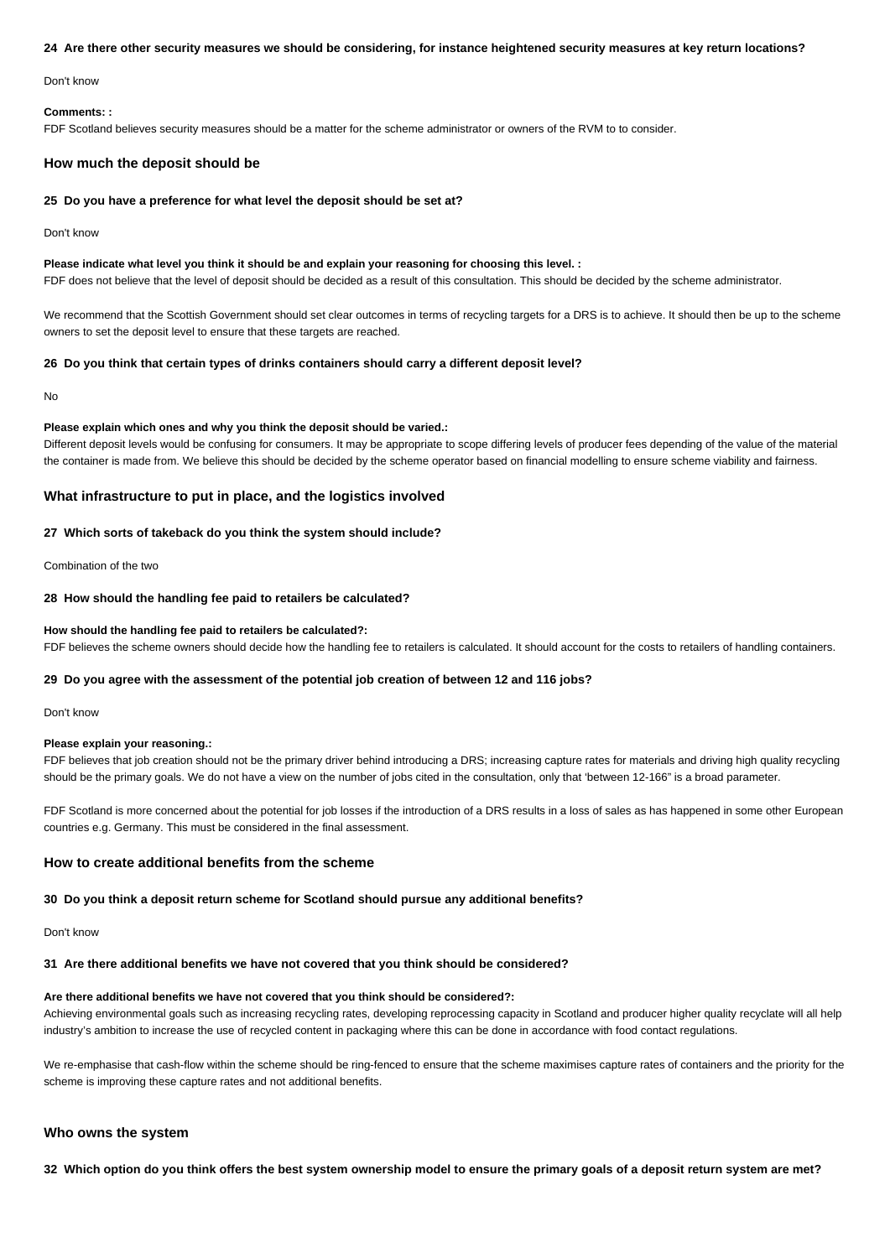### **24 Are there other security measures we should be considering, for instance heightened security measures at key return locations?**

Don't know

#### **Comments: :**

FDF Scotland believes security measures should be a matter for the scheme administrator or owners of the RVM to to consider.

# **How much the deposit should be**

### **25 Do you have a preference for what level the deposit should be set at?**

Don't know

## **Please indicate what level you think it should be and explain your reasoning for choosing this level. :**

FDF does not believe that the level of deposit should be decided as a result of this consultation. This should be decided by the scheme administrator.

We recommend that the Scottish Government should set clear outcomes in terms of recycling targets for a DRS is to achieve. It should then be up to the scheme owners to set the deposit level to ensure that these targets are reached.

### **26 Do you think that certain types of drinks containers should carry a different deposit level?**

No

#### **Please explain which ones and why you think the deposit should be varied.:**

Different deposit levels would be confusing for consumers. It may be appropriate to scope differing levels of producer fees depending of the value of the material the container is made from. We believe this should be decided by the scheme operator based on financial modelling to ensure scheme viability and fairness.

# **What infrastructure to put in place, and the logistics involved**

# **27 Which sorts of takeback do you think the system should include?**

Combination of the two

### **28 How should the handling fee paid to retailers be calculated?**

## **How should the handling fee paid to retailers be calculated?:**

FDF believes the scheme owners should decide how the handling fee to retailers is calculated. It should account for the costs to retailers of handling containers.

## **29 Do you agree with the assessment of the potential job creation of between 12 and 116 jobs?**

Don't know

# **Please explain your reasoning.:**

FDF believes that job creation should not be the primary driver behind introducing a DRS; increasing capture rates for materials and driving high quality recycling should be the primary goals. We do not have a view on the number of jobs cited in the consultation, only that 'between 12-166" is a broad parameter.

FDF Scotland is more concerned about the potential for job losses if the introduction of a DRS results in a loss of sales as has happened in some other European countries e.g. Germany. This must be considered in the final assessment.

# **How to create additional benefits from the scheme**

### **30 Do you think a deposit return scheme for Scotland should pursue any additional benefits?**

Don't know

# **31 Are there additional benefits we have not covered that you think should be considered?**

# **Are there additional benefits we have not covered that you think should be considered?:**

Achieving environmental goals such as increasing recycling rates, developing reprocessing capacity in Scotland and producer higher quality recyclate will all help industry's ambition to increase the use of recycled content in packaging where this can be done in accordance with food contact regulations.

We re-emphasise that cash-flow within the scheme should be ring-fenced to ensure that the scheme maximises capture rates of containers and the priority for the scheme is improving these capture rates and not additional benefits.

# **Who owns the system**

**32 Which option do you think offers the best system ownership model to ensure the primary goals of a deposit return system are met?**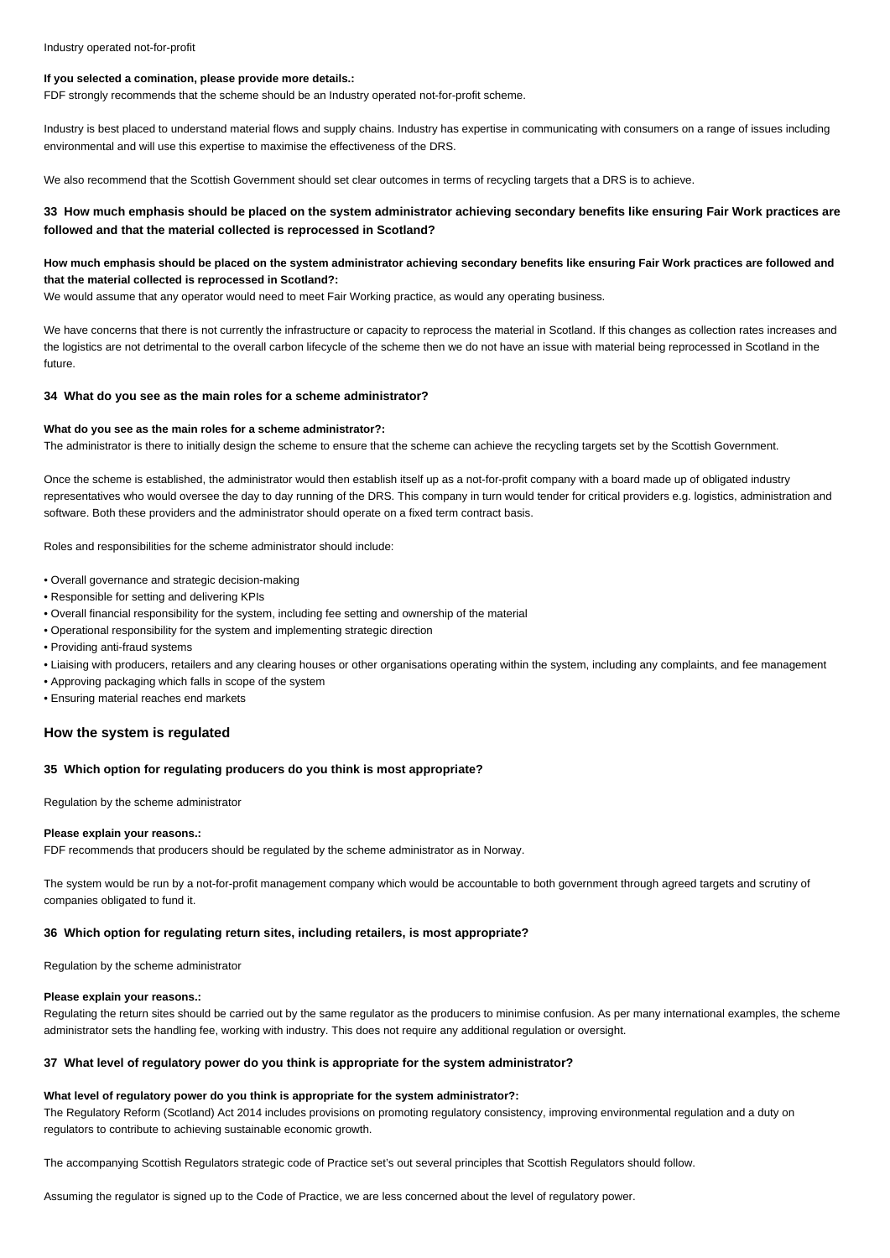# **If you selected a comination, please provide more details.:**

FDF strongly recommends that the scheme should be an Industry operated not-for-profit scheme.

Industry is best placed to understand material flows and supply chains. Industry has expertise in communicating with consumers on a range of issues including environmental and will use this expertise to maximise the effectiveness of the DRS.

We also recommend that the Scottish Government should set clear outcomes in terms of recycling targets that a DRS is to achieve.

# **33 How much emphasis should be placed on the system administrator achieving secondary benefits like ensuring Fair Work practices are followed and that the material collected is reprocessed in Scotland?**

# **How much emphasis should be placed on the system administrator achieving secondary benefits like ensuring Fair Work practices are followed and that the material collected is reprocessed in Scotland?:**

We would assume that any operator would need to meet Fair Working practice, as would any operating business.

We have concerns that there is not currently the infrastructure or capacity to reprocess the material in Scotland. If this changes as collection rates increases and the logistics are not detrimental to the overall carbon lifecycle of the scheme then we do not have an issue with material being reprocessed in Scotland in the future.

### **34 What do you see as the main roles for a scheme administrator?**

### **What do you see as the main roles for a scheme administrator?:**

The administrator is there to initially design the scheme to ensure that the scheme can achieve the recycling targets set by the Scottish Government.

Once the scheme is established, the administrator would then establish itself up as a not-for-profit company with a board made up of obligated industry representatives who would oversee the day to day running of the DRS. This company in turn would tender for critical providers e.g. logistics, administration and software. Both these providers and the administrator should operate on a fixed term contract basis.

Roles and responsibilities for the scheme administrator should include:

- Overall governance and strategic decision-making
- Responsible for setting and delivering KPIs
- Overall financial responsibility for the system, including fee setting and ownership of the material
- Operational responsibility for the system and implementing strategic direction
- Providing anti-fraud systems
- Liaising with producers, retailers and any clearing houses or other organisations operating within the system, including any complaints, and fee management
- Approving packaging which falls in scope of the system

• Ensuring material reaches end markets

### **How the system is regulated**

# **35 Which option for regulating producers do you think is most appropriate?**

Regulation by the scheme administrator

### **Please explain your reasons.:**

FDF recommends that producers should be regulated by the scheme administrator as in Norway.

The system would be run by a not-for-profit management company which would be accountable to both government through agreed targets and scrutiny of companies obligated to fund it.

### **36 Which option for regulating return sites, including retailers, is most appropriate?**

Regulation by the scheme administrator

#### **Please explain your reasons.:**

Regulating the return sites should be carried out by the same regulator as the producers to minimise confusion. As per many international examples, the scheme administrator sets the handling fee, working with industry. This does not require any additional regulation or oversight.

### **37 What level of regulatory power do you think is appropriate for the system administrator?**

#### **What level of regulatory power do you think is appropriate for the system administrator?:**

The Regulatory Reform (Scotland) Act 2014 includes provisions on promoting regulatory consistency, improving environmental regulation and a duty on regulators to contribute to achieving sustainable economic growth.

The accompanying Scottish Regulators strategic code of Practice set's out several principles that Scottish Regulators should follow.

Assuming the regulator is signed up to the Code of Practice, we are less concerned about the level of regulatory power.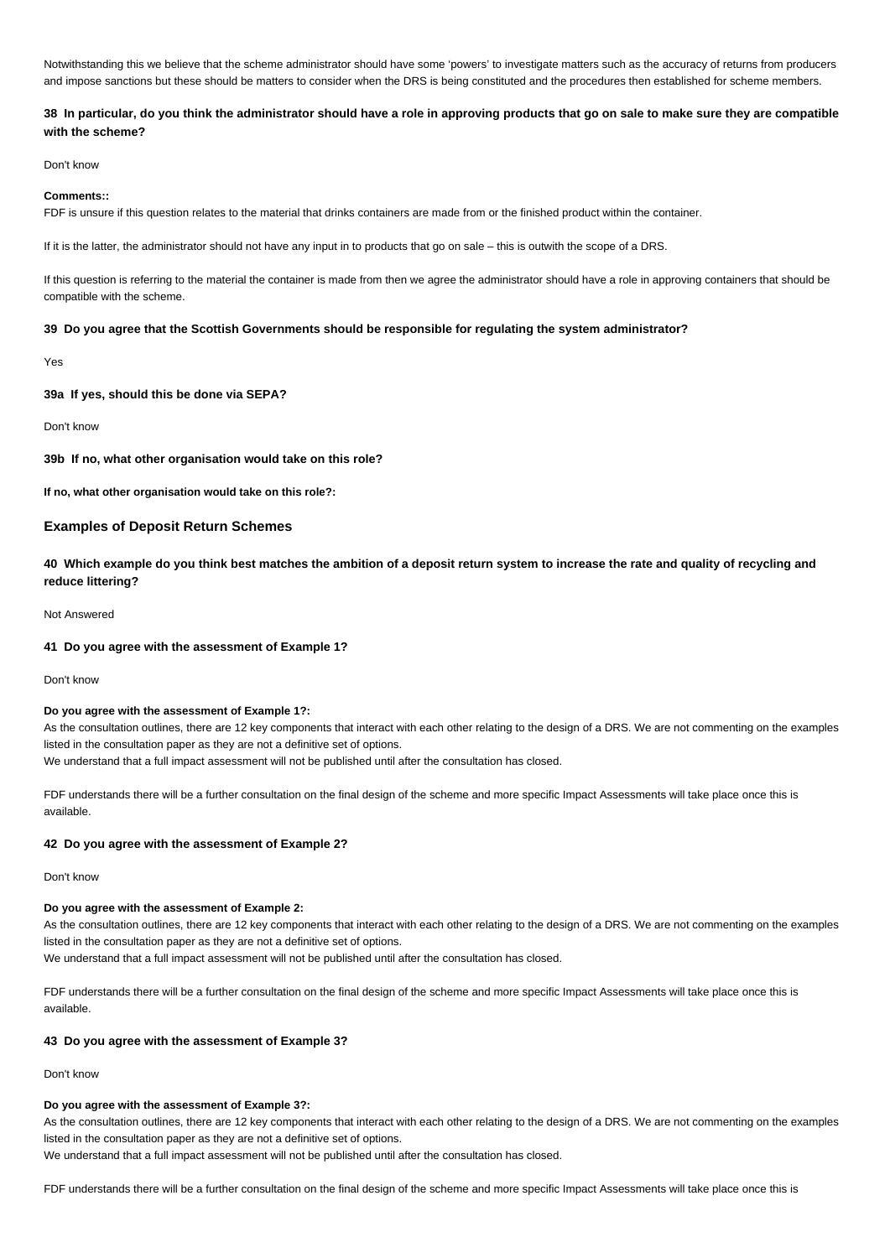Notwithstanding this we believe that the scheme administrator should have some 'powers' to investigate matters such as the accuracy of returns from producers and impose sanctions but these should be matters to consider when the DRS is being constituted and the procedures then established for scheme members.

# **38 In particular, do you think the administrator should have a role in approving products that go on sale to make sure they are compatible with the scheme?**

Don't know

#### **Comments::**

FDF is unsure if this question relates to the material that drinks containers are made from or the finished product within the container.

If it is the latter, the administrator should not have any input in to products that go on sale – this is outwith the scope of a DRS.

If this question is referring to the material the container is made from then we agree the administrator should have a role in approving containers that should be compatible with the scheme.

### **39 Do you agree that the Scottish Governments should be responsible for regulating the system administrator?**

Yes

### **39a If yes, should this be done via SEPA?**

#### Don't know

**39b If no, what other organisation would take on this role?**

**If no, what other organisation would take on this role?:**

### **Examples of Deposit Return Schemes**

**40 Which example do you think best matches the ambition of a deposit return system to increase the rate and quality of recycling and reduce littering?**

### Not Answered

# **41 Do you agree with the assessment of Example 1?**

Don't know

#### **Do you agree with the assessment of Example 1?:**

As the consultation outlines, there are 12 key components that interact with each other relating to the design of a DRS. We are not commenting on the examples listed in the consultation paper as they are not a definitive set of options.

We understand that a full impact assessment will not be published until after the consultation has closed.

FDF understands there will be a further consultation on the final design of the scheme and more specific Impact Assessments will take place once this is available.

# **42 Do you agree with the assessment of Example 2?**

# Don't know

## **Do you agree with the assessment of Example 2:**

As the consultation outlines, there are 12 key components that interact with each other relating to the design of a DRS. We are not commenting on the examples listed in the consultation paper as they are not a definitive set of options.

We understand that a full impact assessment will not be published until after the consultation has closed.

FDF understands there will be a further consultation on the final design of the scheme and more specific Impact Assessments will take place once this is available.

# **43 Do you agree with the assessment of Example 3?**

### Don't know

#### **Do you agree with the assessment of Example 3?:**

As the consultation outlines, there are 12 key components that interact with each other relating to the design of a DRS. We are not commenting on the examples listed in the consultation paper as they are not a definitive set of options.

We understand that a full impact assessment will not be published until after the consultation has closed.

FDF understands there will be a further consultation on the final design of the scheme and more specific Impact Assessments will take place once this is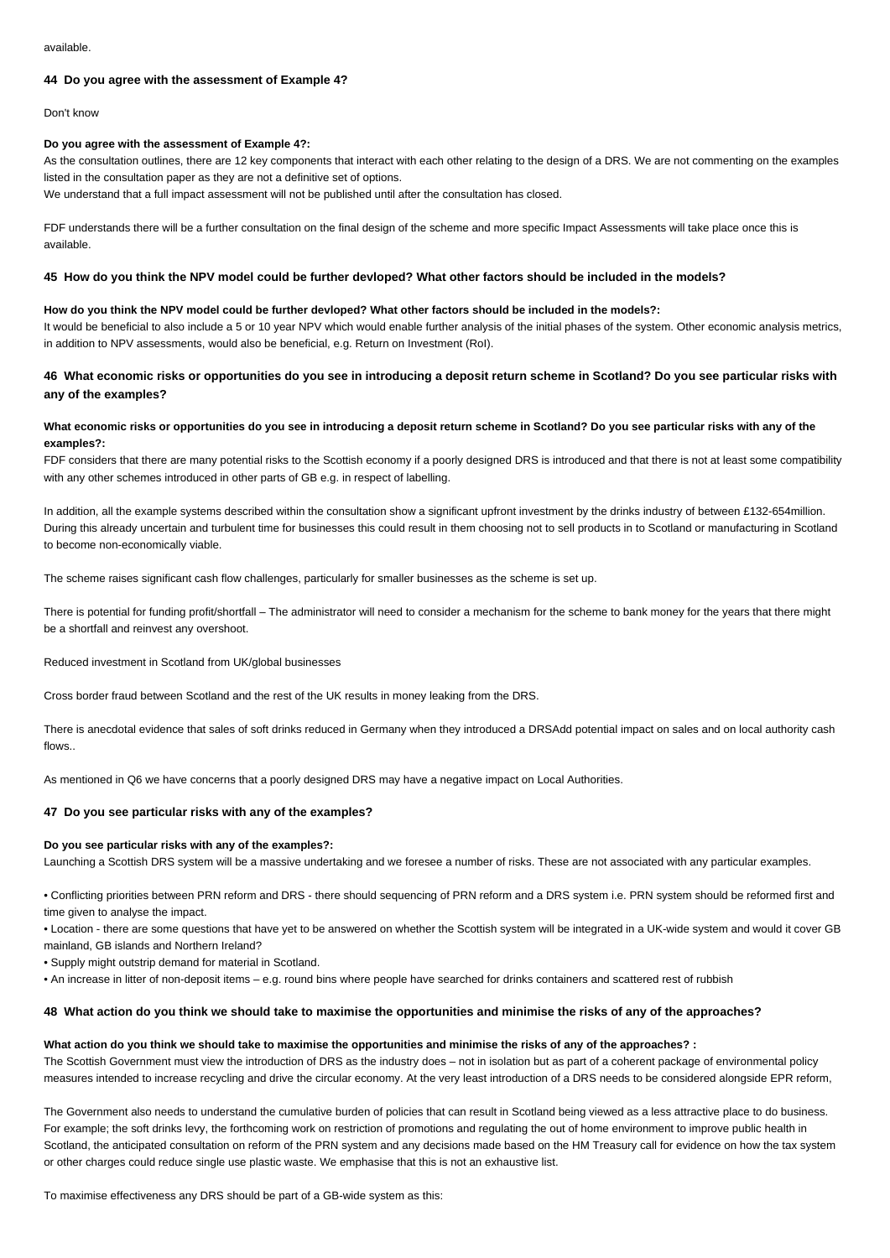# **44 Do you agree with the assessment of Example 4?**

### Don't know

### **Do you agree with the assessment of Example 4?:**

As the consultation outlines, there are 12 key components that interact with each other relating to the design of a DRS. We are not commenting on the examples listed in the consultation paper as they are not a definitive set of options.

We understand that a full impact assessment will not be published until after the consultation has closed.

FDF understands there will be a further consultation on the final design of the scheme and more specific Impact Assessments will take place once this is available.

### **45 How do you think the NPV model could be further devloped? What other factors should be included in the models?**

### **How do you think the NPV model could be further devloped? What other factors should be included in the models?:**

It would be beneficial to also include a 5 or 10 year NPV which would enable further analysis of the initial phases of the system. Other economic analysis metrics, in addition to NPV assessments, would also be beneficial, e.g. Return on Investment (RoI).

# **46 What economic risks or opportunities do you see in introducing a deposit return scheme in Scotland? Do you see particular risks with any of the examples?**

# **What economic risks or opportunities do you see in introducing a deposit return scheme in Scotland? Do you see particular risks with any of the examples?:**

FDF considers that there are many potential risks to the Scottish economy if a poorly designed DRS is introduced and that there is not at least some compatibility with any other schemes introduced in other parts of GB e.g. in respect of labelling.

In addition, all the example systems described within the consultation show a significant upfront investment by the drinks industry of between £132-654million. During this already uncertain and turbulent time for businesses this could result in them choosing not to sell products in to Scotland or manufacturing in Scotland to become non-economically viable.

The scheme raises significant cash flow challenges, particularly for smaller businesses as the scheme is set up.

There is potential for funding profit/shortfall – The administrator will need to consider a mechanism for the scheme to bank money for the years that there might be a shortfall and reinvest any overshoot.

Reduced investment in Scotland from UK/global businesses

Cross border fraud between Scotland and the rest of the UK results in money leaking from the DRS.

There is anecdotal evidence that sales of soft drinks reduced in Germany when they introduced a DRSAdd potential impact on sales and on local authority cash flows..

As mentioned in Q6 we have concerns that a poorly designed DRS may have a negative impact on Local Authorities.

# **47 Do you see particular risks with any of the examples?**

### **Do you see particular risks with any of the examples?:**

Launching a Scottish DRS system will be a massive undertaking and we foresee a number of risks. These are not associated with any particular examples.

• Conflicting priorities between PRN reform and DRS - there should sequencing of PRN reform and a DRS system i.e. PRN system should be reformed first and time given to analyse the impact.

• Location - there are some questions that have yet to be answered on whether the Scottish system will be integrated in a UK-wide system and would it cover GB mainland, GB islands and Northern Ireland?

• Supply might outstrip demand for material in Scotland.

• An increase in litter of non-deposit items – e.g. round bins where people have searched for drinks containers and scattered rest of rubbish

### **48 What action do you think we should take to maximise the opportunities and minimise the risks of any of the approaches?**

### **What action do you think we should take to maximise the opportunities and minimise the risks of any of the approaches? :**

The Scottish Government must view the introduction of DRS as the industry does – not in isolation but as part of a coherent package of environmental policy measures intended to increase recycling and drive the circular economy. At the very least introduction of a DRS needs to be considered alongside EPR reform,

The Government also needs to understand the cumulative burden of policies that can result in Scotland being viewed as a less attractive place to do business. For example; the soft drinks levy, the forthcoming work on restriction of promotions and regulating the out of home environment to improve public health in Scotland, the anticipated consultation on reform of the PRN system and any decisions made based on the HM Treasury call for evidence on how the tax system or other charges could reduce single use plastic waste. We emphasise that this is not an exhaustive list.

To maximise effectiveness any DRS should be part of a GB-wide system as this: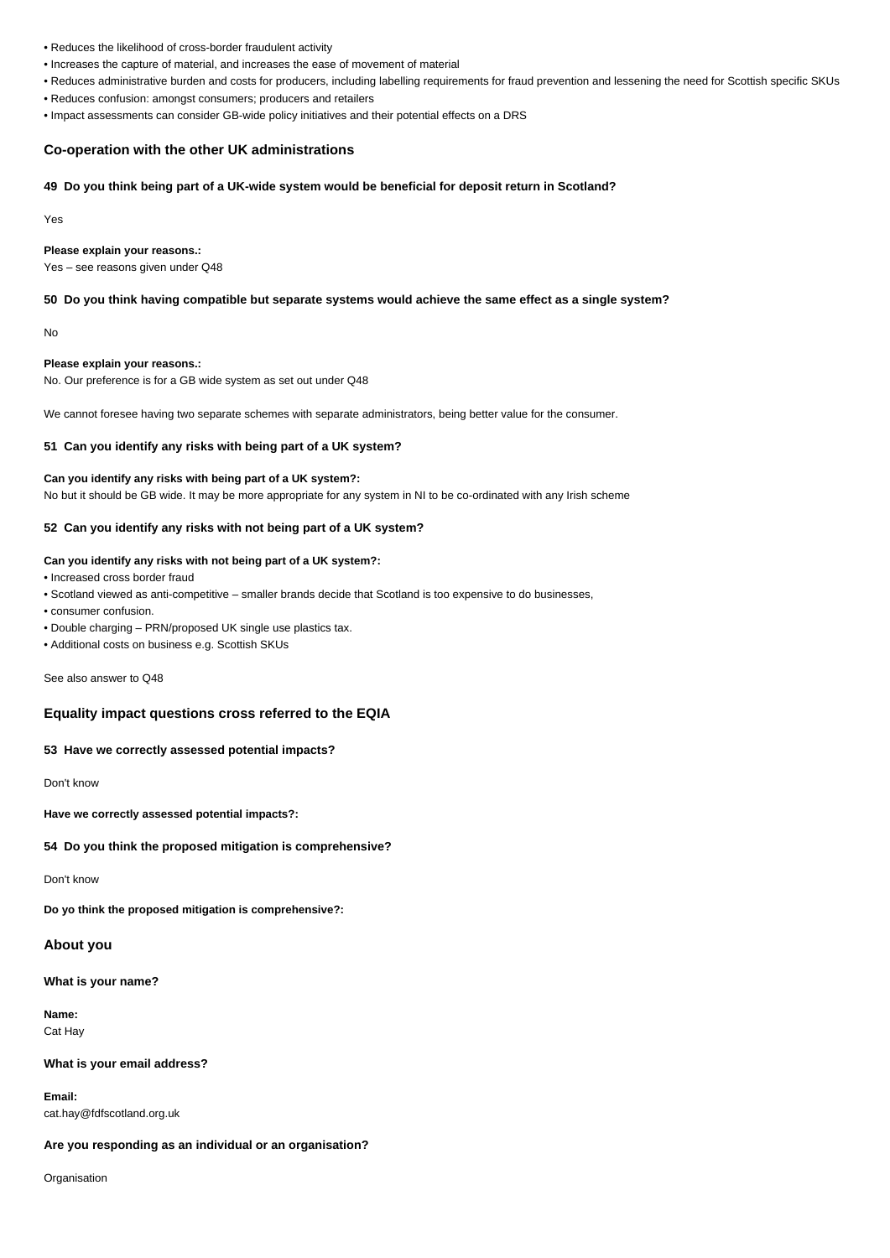- Reduces the likelihood of cross-border fraudulent activity
- Increases the capture of material, and increases the ease of movement of material
- Reduces administrative burden and costs for producers, including labelling requirements for fraud prevention and lessening the need for Scottish specific SKUs
- Reduces confusion: amongst consumers; producers and retailers
- Impact assessments can consider GB-wide policy initiatives and their potential effects on a DRS

### **Co-operation with the other UK administrations**

# **49 Do you think being part of a UK-wide system would be beneficial for deposit return in Scotland?**

Yes

## **Please explain your reasons.:**

Yes – see reasons given under Q48

### **50 Do you think having compatible but separate systems would achieve the same effect as a single system?**

No

### **Please explain your reasons.:**

No. Our preference is for a GB wide system as set out under Q48

We cannot foresee having two separate schemes with separate administrators, being better value for the consumer.

### **51 Can you identify any risks with being part of a UK system?**

# **Can you identify any risks with being part of a UK system?:** No but it should be GB wide. It may be more appropriate for any system in NI to be co-ordinated with any Irish scheme

### **52 Can you identify any risks with not being part of a UK system?**

## **Can you identify any risks with not being part of a UK system?:**

• Increased cross border fraud

- Scotland viewed as anti-competitive smaller brands decide that Scotland is too expensive to do businesses,
- consumer confusion.
- Double charging PRN/proposed UK single use plastics tax.
- Additional costs on business e.g. Scottish SKUs

See also answer to Q48

# **Equality impact questions cross referred to the EQIA**

### **53 Have we correctly assessed potential impacts?**

Don't know

**Have we correctly assessed potential impacts?:**

### **54 Do you think the proposed mitigation is comprehensive?**

Don't know

**Do yo think the proposed mitigation is comprehensive?:**

# **About you**

**What is your name?**

**Name:** Cat Hay

### **What is your email address?**

**Email:** cat.hay@fdfscotland.org.uk

### **Are you responding as an individual or an organisation?**

Organisation